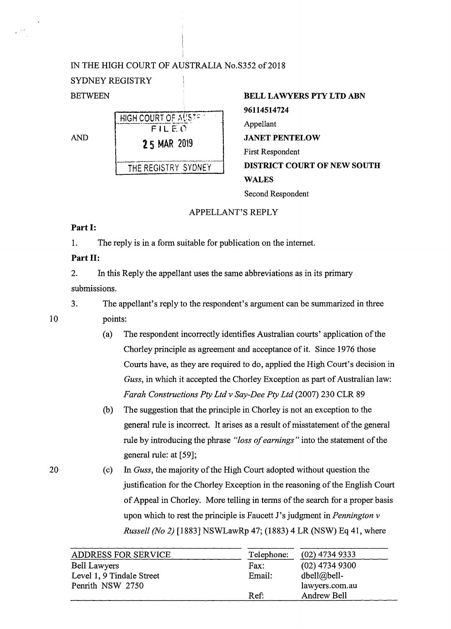# IN THE HIGH COURT OF AUSTRALIA No.S352 of 2018

# SYDNEY REGISTRY

|     | HIGH COURT OF AUSTRY |  |  |
|-----|----------------------|--|--|
| AND | FILEO                |  |  |
|     | <b>25 MAR 2019</b>   |  |  |
|     | THE REGISTRY SYDNEY  |  |  |
|     |                      |  |  |

| BETWEEN |                                               | <b>BELL LAWYERS PTY LTD ABN</b>                                              |  |
|---------|-----------------------------------------------|------------------------------------------------------------------------------|--|
| AND     | HIGH COURT OF AUSTRIC<br>FILEO<br>25 MAR 2019 | 96114514724<br>Appellant<br><b>JANET PENTELOW</b><br><b>First Respondent</b> |  |
|         | THE REGISTRY SYDNEY                           | <b>DISTRICT COURT OF NEW SOUTH</b><br><b>WALES</b>                           |  |
|         |                                               | Second Respondent                                                            |  |

# APPELLANT'S REPLY

## **Part** I:

1. The reply is in a form suitable for publication on the internet.

# **Part** II:

2. In this Reply the appellant uses the same abbreviations as in its primary submissions.

3. The appellant's reply to the respondent's argument can be summarized in three points:

- (a) The respondent incorrectly identifies Australian courts' application of the Chorley principle as agreement and acceptance of it. Since 1976 those Courts have, as they are required to do, applied the High Court's decision in *Guss,* in which it accepted the Chorley Exception as part of Australian law: *Farah Constructions Pty Ltd v Say-Dee Pty Ltd* (2007) 230 CLR 89
- (b) The suggestion that the principle in Chorley is not an exception to the general rule is incorrect. It arises as a result of misstatement of the general rule by introducing the phrase *"loss of earnings"* into the statement of the general rule: at [59];
- (c) In *Guss,* the majority of the High Court adopted without question the justification for the Chorley Exception in the reasoning of the English Court of Appeal in Chorley. More telling in terms of the search for a proper basis upon which to rest the principle is Faucett J's judgment in *Pennington v Russell (No 2)* [1883] NSWLawRp 47; (1883) 4 LR (NSW) Eq 41, where

| <b>ADDRESS FOR SERVICE</b> | Telephone: | $(02)$ 4734 9333   |
|----------------------------|------------|--------------------|
| Bell Lawyers               | Fax:       | $(02)$ 4734 9300   |
| Level 1, 9 Tindale Street  | Email:     | $dbell@bell-$      |
| Penrith NSW 2750           |            | lawyers.com.au     |
|                            | Ref:       | <b>Andrew Bell</b> |

10

20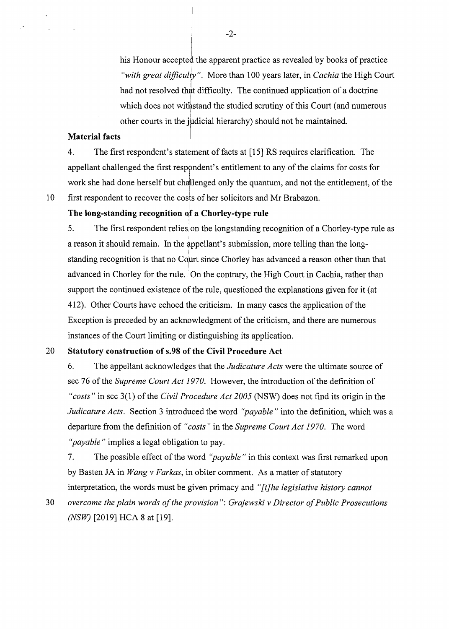his Honour accepted the apparent practice as revealed by books of practice *"with great difficul'iy* ". More than 100 years later, in *Cachia* the High Court had not resolved that difficulty. The continued application of a doctrine which does not withstand the studied scrutiny of this Court (and numerous other courts in the judicial hierarchy) should not be maintained.

#### **Material facts**

4. The first respondent's statement of facts at [15] RS requires clarification. The appellant challenged the first respondent's entitlement to any of the claims for costs for I work she had done herself but challenged only the quantum, and not the entitlement, of the first respondent to recover the costs of her solicitors and Mr Brabazon.

10

# **The long-standing recognition** ojf **a Chorley-type rule**

5. The first respondent relies on the longstanding recognition of a Chorley-type rule as a reason it should remain. In the appellant's submission, more telling than the long standing recognition is that no Court since Chorley has advanced a reason other than that I advanced in Chorley for the rule. On the contrary, the High Court in Cachia, rather than support the continued existence of the rule, questioned the explanations given for it (at 412). Other Courts have echoed the criticism. In many cases the application of the Exception is preceded by an acknowledgment of the criticism, and there are numerous instances of the Court limiting or distinguishing its application.

### 20 **Statutory construction of s.98 of the Civil Procedure Act**

6. The appellant acknowledges that the *Judicature Acts* were the ultimate source of sec 76 of the *Supreme Court Act 1970.* However, the introduction of the definition of *"costs"* in sec 3(1) of the *Civil Procedure Act 2005* (NSW) does not find its origin in the *Judicature Acts.* Section 3 introduced the word *"payable"* into the definition, which was a departure from the definition of *"costs"* in the *Supreme Court Act 1970.* The word *"payable"* implies a legal obligation to pay.

7. The possible effect of the word *''payable* " in this context was first remarked upon by Basten JA in *Wang v Farkas,* in obiter comment. As a matter of statutory interpretation, the words must be given primacy and *"[t]he legislative history cannot* 

30 *overcome the plain words of the provision": Grajewski v Director of Public Prosecutions (NSW)* [2019] HCA 8 at [19].

-2-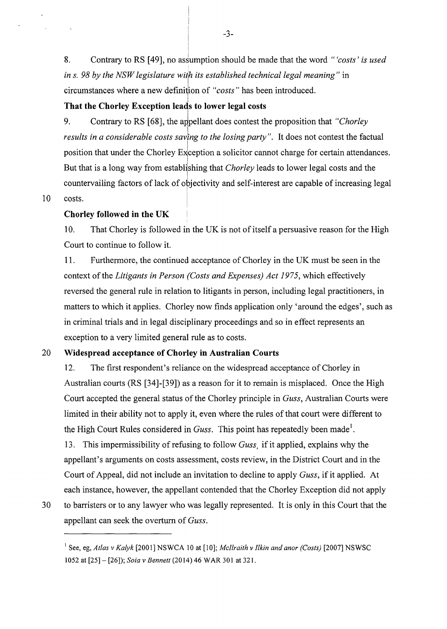8. Contrary to RS [49], no assumption should be made that the word "*'costs' is used ins. 98 by the NSW legislature wiih its established technical legal meaning"* in circumstances where a new definition of "costs" has been introduced.

# **That the Chorley Exception leads to lower legal costs**

9. Contrary to RS [68], the appellant does contest the proposition that *"Chorley*" results in a considerable costs saving to the losing party". It does not contest the factual position that under the Chorley Exception a solicitor cannot charge for certain attendances. But that is a long way from establishing that *Chorley* leads to lower legal costs and the countervailing factors of lack of objectivity and self-interest are capable of increasing legal

10 costs.

#### **Chorley followed in the UK**

10. That Chorley is followed in the UK is not of itself a persuasive reason for the High Court to continue to follow it.

11. Furthermore, the continued acceptance of Chorley in the UK must be seen in the context of the *Litigants in Person (Costs and Expenses) Act 1975,* which effectively reversed the general rule in relation to litigants in person, including legal practitioners, in matters to which it applies. Chorley now finds application only 'around the edges', such as in criminal trials and in legal disciplinary proceedings and so in effect represents an exception to a very limited general rule as to costs.

# 20 **Widespread acceptance of Chorley in Australian Courts**

12. The first respondent's reliance on the widespread acceptance of Chorley in Australian courts (RS [34]-[39]) as a reason for it to remain is misplaced. Once the High Court accepted the general status of the Chorley principle in *Guss,* Australian Courts were limited in their ability not to apply it, even where the rules of that court were different to the High Court Rules considered in *Guss*. This point has repeatedly been made<sup>1</sup>.

13. This impermissibility of refusing to follow *Guss,* if it applied, explains why the appellant's arguments on costs assessment, costs review, in the District Court and in the Court of Appeal, did not include an invitation to decline to apply *Guss,* if it applied. At each instance, however, the appellant contended that the Chorley Exception did not apply

30 to barristers or to any lawyer who was legally represented. It is only in this Court that the appellant can seek the overturn of *Guss.* 

-3-

! I

<sup>1</sup>See, eg, *Atlas v Kalyk* [2001] NSWCA 10 at [10]; *Mcllraith v Jlkin and anor (Costs)* [2007] NSWSC

<sup>1052</sup> at [25] - [26]); *Soia* v *Bennett* (2014) 46 WAR 301 at 321.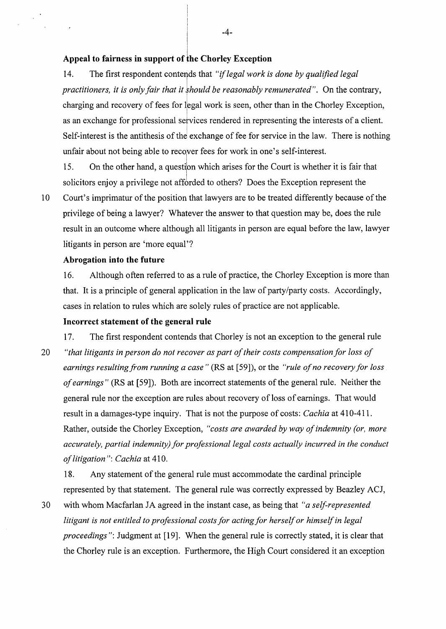### **Appeal to fairness in support of the Chorley Exception**

14. The first respondent contends that *"if legal work is done by qualified legal practitioners, it is only fair that it should be reasonably remunerated".* On the contrary, charging and recovery of fees for legal work is seen, other than in the Chorley Exception, as an exchange for professional services rendered in representing the interests of a client. Self-interest is the antithesis of the exchange of fee for service in the law. There is nothing unfair about not being able to recover fees for work in one's self-interest.

15. On the other hand, a question which arises for the Court is whether it is fair that solicitors enjoy a privilege not afforded to others? Does the Exception represent the

 $\sim$   $^{\prime}$ 

10 Court's imprimatur of the position that lawyers are to be treated differently because of the privilege of being a lawyer? Whatever the answer to that question may be, does the rule result in an outcome where although all litigants in person are equal before the law, lawyer litigants in person are 'more equal'?

# **Abrogation into the future**

16. Although often referred to as a rule of practice, the Chorley Exception is more than that. It is a principle of general application in the law of party/party costs. Accordingly, cases in relation to rules which are solely rules of practice are not applicable.

#### **Incorrect statement of the general rule**

17. The first respondent contends that Chorley is not an exception to the general rule

20 *"that litigants in person do not recover as part of their costs compensation for loss of earnings resulting from running a case"* (RS at [59]), or the *"rule of no recovery for loss of earnings"* (RS at [59]). Both are incorrect statements of the general rule. Neither the general rule nor the exception are rules about recovery of loss of earnings. That would result in a damages-type inquiry. That is not the purpose of costs: *Cachia* at 410-411. Rather, outside the Chorley Exception, *"costs are awarded by way of indemnity (or, more accurately, partial indemnity) for professional legal costs actually incurred in the conduct of litigation": Cachia* at 410.

18. Any statement of the general rule must accommodate the cardinal principle represented by that statement. The general rule was correctly expressed by Beazley ACJ,

30 with whom Macfarlan JA agreed in the instant case, as being that *"a self-represented litigant is not entitled to professional costs for acting for herself or himself in legal proceedings*": Judgment at [19]. When the general rule is correctly stated, it is clear that the Chorley rule is an exception. Furthermore, the High Court considered it an exception

-4-